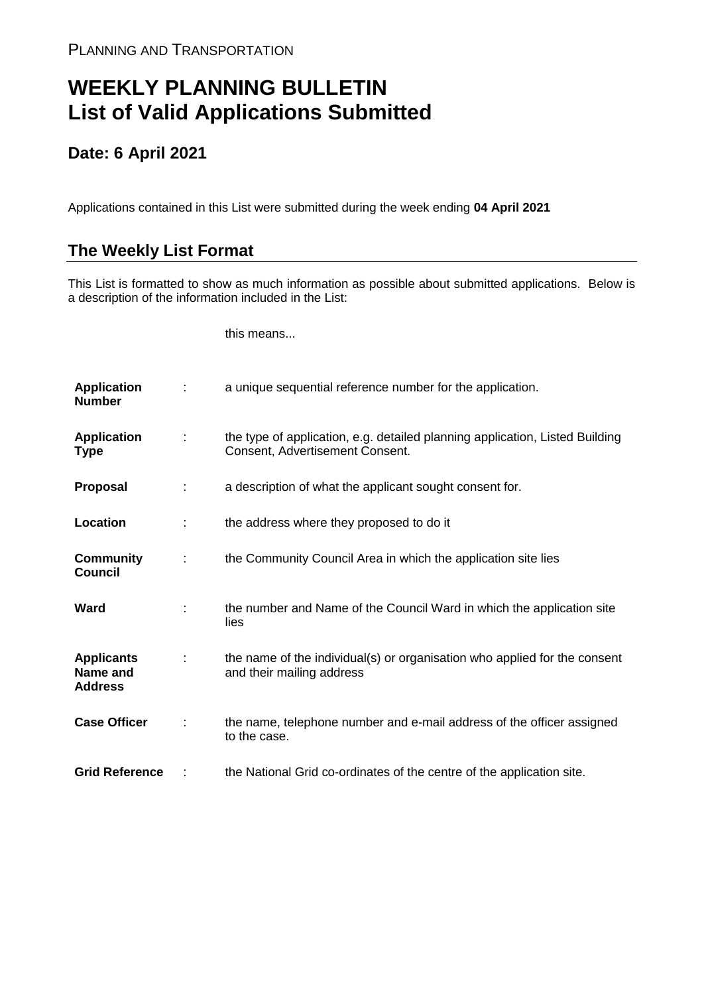## **WEEKLY PLANNING BULLETIN List of Valid Applications Submitted**

## **Date: 6 April 2021**

Applications contained in this List were submitted during the week ending **04 April 2021**

## **The Weekly List Format**

This List is formatted to show as much information as possible about submitted applications. Below is a description of the information included in the List:

this means...

| <b>Application</b><br><b>Number</b>             |   | a unique sequential reference number for the application.                                                       |
|-------------------------------------------------|---|-----------------------------------------------------------------------------------------------------------------|
| <b>Application</b><br>Type                      | ÷ | the type of application, e.g. detailed planning application, Listed Building<br>Consent, Advertisement Consent. |
| <b>Proposal</b>                                 |   | a description of what the applicant sought consent for.                                                         |
| Location                                        |   | the address where they proposed to do it                                                                        |
| <b>Community</b><br><b>Council</b>              |   | the Community Council Area in which the application site lies                                                   |
| Ward                                            |   | the number and Name of the Council Ward in which the application site<br>lies                                   |
| <b>Applicants</b><br>Name and<br><b>Address</b> |   | the name of the individual(s) or organisation who applied for the consent<br>and their mailing address          |
| <b>Case Officer</b>                             |   | the name, telephone number and e-mail address of the officer assigned<br>to the case.                           |
| <b>Grid Reference</b>                           |   | the National Grid co-ordinates of the centre of the application site.                                           |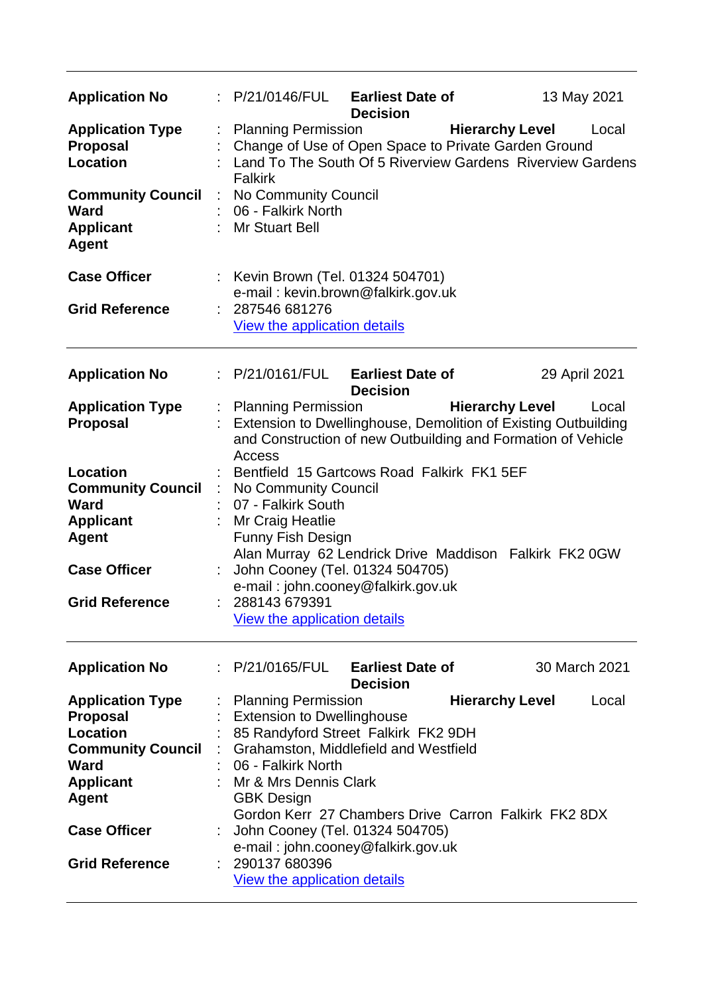| <b>Application No</b>                                                                                                          |   | P/21/0146/FUL                                                                                                                                                                                                       | <b>Earliest Date of</b><br><b>Decision</b> |                        | 13 May 2021   |
|--------------------------------------------------------------------------------------------------------------------------------|---|---------------------------------------------------------------------------------------------------------------------------------------------------------------------------------------------------------------------|--------------------------------------------|------------------------|---------------|
| <b>Application Type</b><br><b>Proposal</b><br><b>Location</b><br><b>Community Council</b><br><b>Ward</b>                       | ÷ | <b>Planning Permission</b><br>Change of Use of Open Space to Private Garden Ground<br>Land To The South Of 5 Riverview Gardens Riverview Gardens<br><b>Falkirk</b><br>No Community Council<br>06 - Falkirk North    |                                            | <b>Hierarchy Level</b> | Local         |
| <b>Applicant</b><br><b>Agent</b>                                                                                               |   | <b>Mr Stuart Bell</b>                                                                                                                                                                                               |                                            |                        |               |
| <b>Case Officer</b>                                                                                                            |   | : Kevin Brown (Tel. 01324 504701)<br>e-mail: kevin.brown@falkirk.gov.uk                                                                                                                                             |                                            |                        |               |
| <b>Grid Reference</b>                                                                                                          |   | 287546 681276<br>View the application details                                                                                                                                                                       |                                            |                        |               |
| <b>Application No</b>                                                                                                          |   | P/21/0161/FUL                                                                                                                                                                                                       | <b>Earliest Date of</b><br><b>Decision</b> |                        | 29 April 2021 |
| <b>Application Type</b><br><b>Proposal</b>                                                                                     |   | : Planning Permission<br>Extension to Dwellinghouse, Demolition of Existing Outbuilding<br>and Construction of new Outbuilding and Formation of Vehicle<br><b>Access</b>                                            |                                            | <b>Hierarchy Level</b> | Local         |
| Location<br><b>Community Council</b><br><b>Ward</b>                                                                            | ÷ | Bentfield 15 Gartcows Road Falkirk FK1 5EF<br>No Community Council<br>07 - Falkirk South                                                                                                                            |                                            |                        |               |
| <b>Applicant</b><br><b>Agent</b>                                                                                               |   | Mr Craig Heatlie<br><b>Funny Fish Design</b><br>Alan Murray 62 Lendrick Drive Maddison Falkirk FK2 0GW                                                                                                              |                                            |                        |               |
| <b>Case Officer</b>                                                                                                            |   | John Cooney (Tel. 01324 504705)<br>e-mail: john.cooney@falkirk.gov.uk                                                                                                                                               |                                            |                        |               |
| <b>Grid Reference</b>                                                                                                          |   | 288143 679391<br>View the application details                                                                                                                                                                       |                                            |                        |               |
| <b>Application No</b>                                                                                                          |   | : P/21/0165/FUL                                                                                                                                                                                                     | <b>Earliest Date of</b><br><b>Decision</b> |                        | 30 March 2021 |
| <b>Application Type</b><br><b>Proposal</b><br>Location<br><b>Community Council</b><br>Ward<br><b>Applicant</b><br><b>Agent</b> |   | <b>Planning Permission</b><br><b>Extension to Dwellinghouse</b><br>85 Randyford Street Falkirk FK2 9DH<br>Grahamston, Middlefield and Westfield<br>06 - Falkirk North<br>Mr & Mrs Dennis Clark<br><b>GBK Design</b> |                                            | <b>Hierarchy Level</b> | Local         |
| <b>Case Officer</b>                                                                                                            |   | Gordon Kerr 27 Chambers Drive Carron Falkirk FK2 8DX<br>John Cooney (Tel. 01324 504705)<br>e-mail: john.cooney@falkirk.gov.uk                                                                                       |                                            |                        |               |
| <b>Grid Reference</b>                                                                                                          |   | 290137 680396<br>View the application details                                                                                                                                                                       |                                            |                        |               |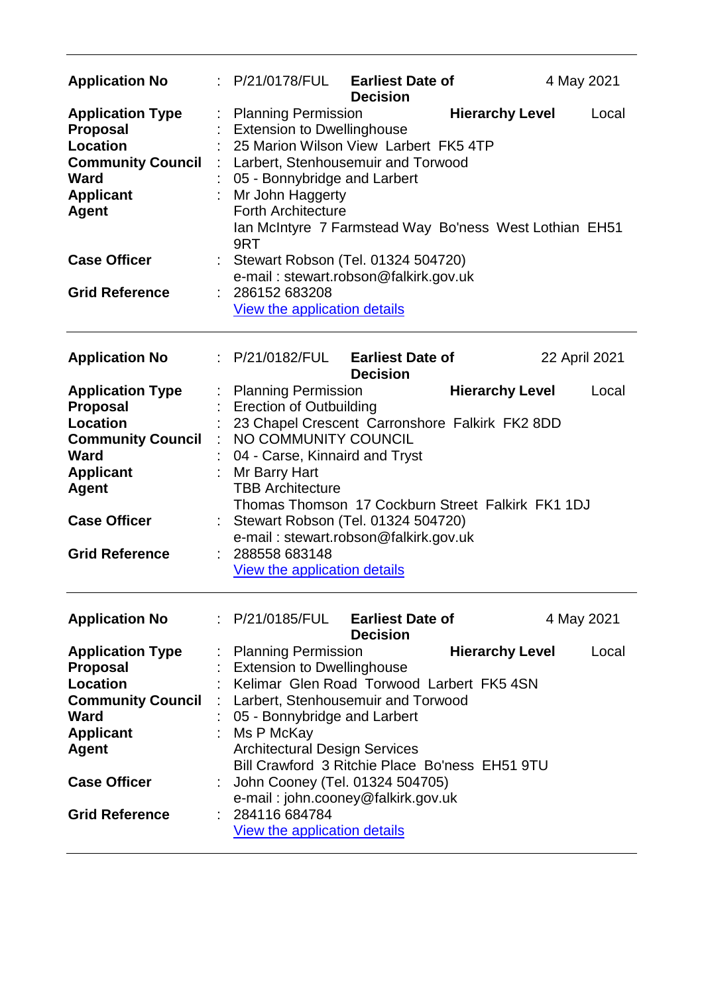| <b>Application No</b>                                                                                                                                                                 |    | P/21/0178/FUL<br><b>Earliest Date of</b><br>4 May 2021<br><b>Decision</b>                                                                                                                                                                                                                                                                                                                                                                             |       |
|---------------------------------------------------------------------------------------------------------------------------------------------------------------------------------------|----|-------------------------------------------------------------------------------------------------------------------------------------------------------------------------------------------------------------------------------------------------------------------------------------------------------------------------------------------------------------------------------------------------------------------------------------------------------|-------|
| <b>Application Type</b><br><b>Proposal</b><br><b>Location</b><br><b>Community Council</b><br><b>Ward</b><br><b>Applicant</b><br><b>Agent</b>                                          | ÷. | <b>Planning Permission</b><br><b>Hierarchy Level</b><br><b>Extension to Dwellinghouse</b><br>25 Marion Wilson View Larbert FK5 4TP<br>Larbert, Stenhousemuir and Torwood<br>05 - Bonnybridge and Larbert<br>Mr John Haggerty<br><b>Forth Architecture</b><br>Ian McIntyre 7 Farmstead Way Bo'ness West Lothian EH51<br>9RT                                                                                                                            | Local |
| <b>Case Officer</b>                                                                                                                                                                   |    | : Stewart Robson (Tel. 01324 504720)<br>e-mail: stewart.robson@falkirk.gov.uk                                                                                                                                                                                                                                                                                                                                                                         |       |
| <b>Grid Reference</b>                                                                                                                                                                 |    | 286152 683208<br>View the application details                                                                                                                                                                                                                                                                                                                                                                                                         |       |
| <b>Application No</b>                                                                                                                                                                 |    | P/21/0182/FUL<br><b>Earliest Date of</b><br>22 April 2021<br><b>Decision</b>                                                                                                                                                                                                                                                                                                                                                                          |       |
| <b>Application Type</b><br><b>Proposal</b><br>Location<br><b>Community Council</b><br><b>Ward</b><br><b>Applicant</b>                                                                 |    | : Planning Permission<br><b>Hierarchy Level</b><br><b>Erection of Outbuilding</b><br>23 Chapel Crescent Carronshore Falkirk FK2 8DD<br>NO COMMUNITY COUNCIL<br>04 - Carse, Kinnaird and Tryst<br>Mr Barry Hart                                                                                                                                                                                                                                        | Local |
| <b>Agent</b><br><b>Case Officer</b><br><b>Grid Reference</b>                                                                                                                          |    | <b>TBB Architecture</b><br>Thomas Thomson 17 Cockburn Street Falkirk FK1 1DJ<br>Stewart Robson (Tel. 01324 504720)<br>e-mail: stewart.robson@falkirk.gov.uk<br>288558 683148<br><b>View the application details</b>                                                                                                                                                                                                                                   |       |
| <b>Application No</b>                                                                                                                                                                 |    | : P/21/0185/FUL<br><b>Earliest Date of</b><br>4 May 2021<br><b>Decision</b>                                                                                                                                                                                                                                                                                                                                                                           |       |
| <b>Application Type</b><br><b>Proposal</b><br><b>Location</b><br><b>Community Council</b><br>Ward<br><b>Applicant</b><br><b>Agent</b><br><b>Case Officer</b><br><b>Grid Reference</b> | ÷  | <b>Planning Permission</b><br><b>Hierarchy Level</b><br><b>Extension to Dwellinghouse</b><br>Kelimar Glen Road Torwood Larbert FK5 4SN<br>Larbert, Stenhousemuir and Torwood<br>05 - Bonnybridge and Larbert<br>Ms P McKay<br><b>Architectural Design Services</b><br>Bill Crawford 3 Ritchie Place Bo'ness EH51 9TU<br>John Cooney (Tel. 01324 504705)<br>e-mail: john.cooney@falkirk.gov.uk<br>284116 684784<br><b>View the application details</b> | Local |